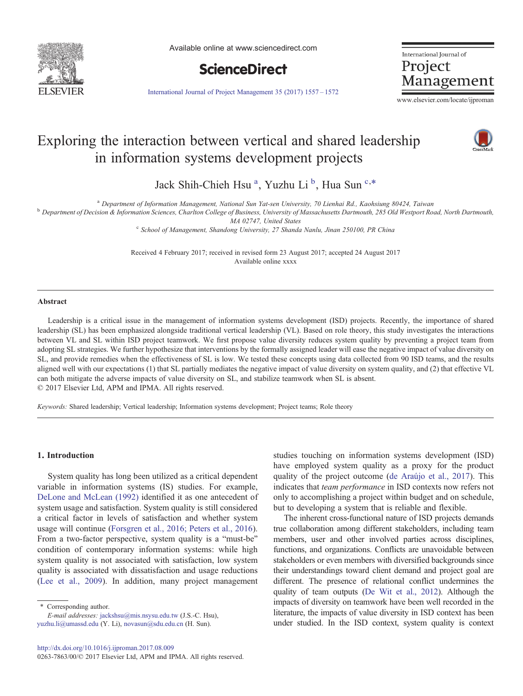

Available online at www.sciencedirect.com



International Journal of Project Management

[International Journal of Project Management 35 \(2017\) 1557](http://dx.doi.org/10.1016/j.ijproman.2017.08.009)–1572

www.elsevier.com/locate/ijproman

## Exploring the interaction between vertical and shared leadership in information systems development projects



Jack Shih-Chieh Hsu<sup>a</sup>, Yuzhu Li<sup>b</sup>, Hua Sun<sup>c,\*</sup>

<sup>a</sup> Department of Information Management, National Sun Yat-sen University, 70 Lienhai Rd., Kaohsiung 80424, Taiwan<br>Department of Decision & Information Sciences, Charlton College of Business, University of Massachusetts Da

MA 02747, United States<br><sup>c</sup> School of Management, Shandong University, 27 Shanda Nanlu, Jinan 250100, PR China

Received 4 February 2017; received in revised form 23 August 2017; accepted 24 August 2017 Available online xxxx

## Abstract

Leadership is a critical issue in the management of information systems development (ISD) projects. Recently, the importance of shared leadership (SL) has been emphasized alongside traditional vertical leadership (VL). Based on role theory, this study investigates the interactions between VL and SL within ISD project teamwork. We first propose value diversity reduces system quality by preventing a project team from adopting SL strategies. We further hypothesize that interventions by the formally assigned leader will ease the negative impact of value diversity on SL, and provide remedies when the effectiveness of SL is low. We tested these concepts using data collected from 90 ISD teams, and the results aligned well with our expectations (1) that SL partially mediates the negative impact of value diversity on system quality, and (2) that effective VL can both mitigate the adverse impacts of value diversity on SL, and stabilize teamwork when SL is absent. © 2017 Elsevier Ltd, APM and IPMA. All rights reserved.

Keywords: Shared leadership; Vertical leadership; Information systems development; Project teams; Role theory

## 1. Introduction

System quality has long been utilized as a critical dependent variable in information systems (IS) studies. For example, [DeLone and McLean \(1992\)](#page--1-0) identified it as one antecedent of system usage and satisfaction. System quality is still considered a critical factor in levels of satisfaction and whether system usage will continue ([Forsgren et al., 2016; Peters et al., 2016\)](#page--1-0). From a two-factor perspective, system quality is a "must-be" condition of contemporary information systems: while high system quality is not associated with satisfaction, low system quality is associated with dissatisfaction and usage reductions ([Lee et al., 2009\)](#page--1-0). In addition, many project management

⁎ Corresponding author. E-mail addresses: <jackshsu@mis.nsysu.edu.tw> (J.S.-C. Hsu), <yuzhu.li@umassd.edu> (Y. Li), <novasun@sdu.edu.cn> (H. Sun).

quality of the project outcome ([de Araújo et al., 2017](#page--1-0)). This indicates that team performance in ISD contexts now refers not only to accomplishing a project within budget and on schedule, but to developing a system that is reliable and flexible. The inherent cross-functional nature of ISD projects demands

studies touching on information systems development (ISD) have employed system quality as a proxy for the product

true collaboration among different stakeholders, including team members, user and other involved parties across disciplines, functions, and organizations. Conflicts are unavoidable between stakeholders or even members with diversified backgrounds since their understandings toward client demand and project goal are different. The presence of relational conflict undermines the quality of team outputs ([De Wit et al., 2012\)](#page--1-0). Although the impacts of diversity on teamwork have been well recorded in the literature, the impacts of value diversity in ISD context has been under studied. In the ISD context, system quality is context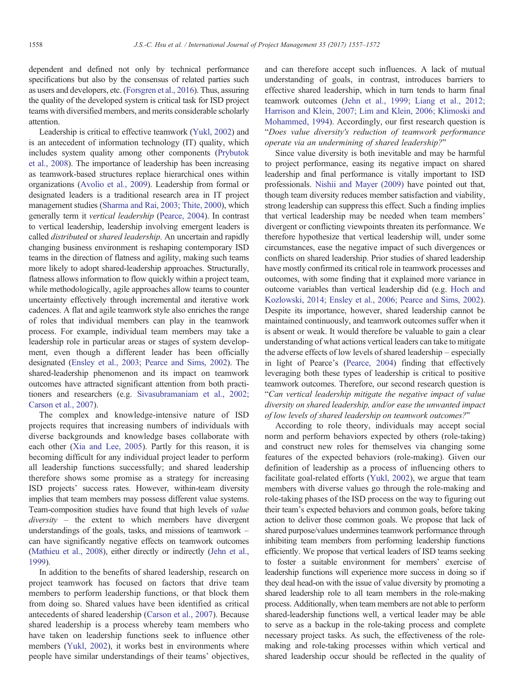dependent and defined not only by technical performance specifications but also by the consensus of related parties such as users and developers, etc. ([Forsgren et al., 2016\)](#page--1-0). Thus, assuring the quality of the developed system is critical task for ISD project teams with diversified members, and merits considerable scholarly attention.

Leadership is critical to effective teamwork ([Yukl, 2002\)](#page--1-0) and is an antecedent of information technology (IT) quality, which includes system quality among other components [\(Prybutok](#page--1-0) [et al., 2008\)](#page--1-0). The importance of leadership has been increasing as teamwork-based structures replace hierarchical ones within organizations ([Avolio et al., 2009\)](#page--1-0). Leadership from formal or designated leaders is a traditional research area in IT project management studies ([Sharma and Rai, 2003; Thite, 2000](#page--1-0)), which generally term it vertical leadership ([Pearce, 2004\)](#page--1-0). In contrast to vertical leadership, leadership involving emergent leaders is called distributed or shared leadership. An uncertain and rapidly changing business environment is reshaping contemporary ISD teams in the direction of flatness and agility, making such teams more likely to adopt shared-leadership approaches. Structurally, flatness allows information to flow quickly within a project team, while methodologically, agile approaches allow teams to counter uncertainty effectively through incremental and iterative work cadences. A flat and agile teamwork style also enriches the range of roles that individual members can play in the teamwork process. For example, individual team members may take a leadership role in particular areas or stages of system development, even though a different leader has been officially designated [\(Ensley et al., 2003; Pearce and Sims, 2002\)](#page--1-0). The shared-leadership phenomenon and its impact on teamwork outcomes have attracted significant attention from both practitioners and researchers (e.g. [Sivasubramaniam et al., 2002;](#page--1-0) [Carson et al., 2007\)](#page--1-0).

The complex and knowledge-intensive nature of ISD projects requires that increasing numbers of individuals with diverse backgrounds and knowledge bases collaborate with each other [\(Xia and Lee, 2005](#page--1-0)). Partly for this reason, it is becoming difficult for any individual project leader to perform all leadership functions successfully; and shared leadership therefore shows some promise as a strategy for increasing ISD projects' success rates. However, within-team diversity implies that team members may possess different value systems. Team-composition studies have found that high levels of value  $diversity$  – the extent to which members have divergent understandings of the goals, tasks, and missions of teamwork – can have significantly negative effects on teamwork outcomes ([Mathieu et al., 2008](#page--1-0)), either directly or indirectly [\(Jehn et al.,](#page--1-0) [1999](#page--1-0)).

In addition to the benefits of shared leadership, research on project teamwork has focused on factors that drive team members to perform leadership functions, or that block them from doing so. Shared values have been identified as critical antecedents of shared leadership [\(Carson et al., 2007](#page--1-0)). Because shared leadership is a process whereby team members who have taken on leadership functions seek to influence other members [\(Yukl, 2002\)](#page--1-0), it works best in environments where people have similar understandings of their teams' objectives,

and can therefore accept such influences. A lack of mutual understanding of goals, in contrast, introduces barriers to effective shared leadership, which in turn tends to harm final teamwork outcomes [\(Jehn et al., 1999; Liang et al., 2012;](#page--1-0) [Harrison and Klein, 2007; Lim and Klein, 2006; Klimoski and](#page--1-0) [Mohammed, 1994](#page--1-0)). Accordingly, our first research question is "Does value diversity's reduction of teamwork performance operate via an undermining of shared leadership?"

Since value diversity is both inevitable and may be harmful to project performance, easing its negative impact on shared leadership and final performance is vitally important to ISD professionals. [Nishii and Mayer \(2009\)](#page--1-0) have pointed out that, though team diversity reduces member satisfaction and viability, strong leadership can suppress this effect. Such a finding implies that vertical leadership may be needed when team members' divergent or conflicting viewpoints threaten its performance. We therefore hypothesize that vertical leadership will, under some circumstances, ease the negative impact of such divergences or conflicts on shared leadership. Prior studies of shared leadership have mostly confirmed its critical role in teamwork processes and outcomes, with some finding that it explained more variance in outcome variables than vertical leadership did (e.g. [Hoch and](#page--1-0) [Kozlowski, 2014; Ensley et al., 2006; Pearce and Sims, 2002](#page--1-0)). Despite its importance, however, shared leadership cannot be maintained continuously, and teamwork outcomes suffer when it is absent or weak. It would therefore be valuable to gain a clear understanding of what actions vertical leaders can take to mitigate the adverse effects of low levels of shared leadership – especially in light of Pearce's ([Pearce, 2004](#page--1-0)) finding that effectively leveraging both these types of leadership is critical to positive teamwork outcomes. Therefore, our second research question is "Can vertical leadership mitigate the negative impact of value diversity on shared leadership, and/or ease the unwanted impact of low levels of shared leadership on teamwork outcomes?"

According to role theory, individuals may accept social norm and perform behaviors expected by others (role-taking) and construct new roles for themselves via changing some features of the expected behaviors (role-making). Given our definition of leadership as a process of influencing others to facilitate goal-related efforts [\(Yukl, 2002\)](#page--1-0), we argue that team members with diverse values go through the role-making and role-taking phases of the ISD process on the way to figuring out their team's expected behaviors and common goals, before taking action to deliver those common goals. We propose that lack of shared purpose/values undermines teamwork performance through inhibiting team members from performing leadership functions efficiently. We propose that vertical leaders of ISD teams seeking to foster a suitable environment for members' exercise of leadership functions will experience more success in doing so if they deal head-on with the issue of value diversity by promoting a shared leadership role to all team members in the role-making process. Additionally, when team members are not able to perform shared-leadership functions well, a vertical leader may be able to serve as a backup in the role-taking process and complete necessary project tasks. As such, the effectiveness of the rolemaking and role-taking processes within which vertical and shared leadership occur should be reflected in the quality of